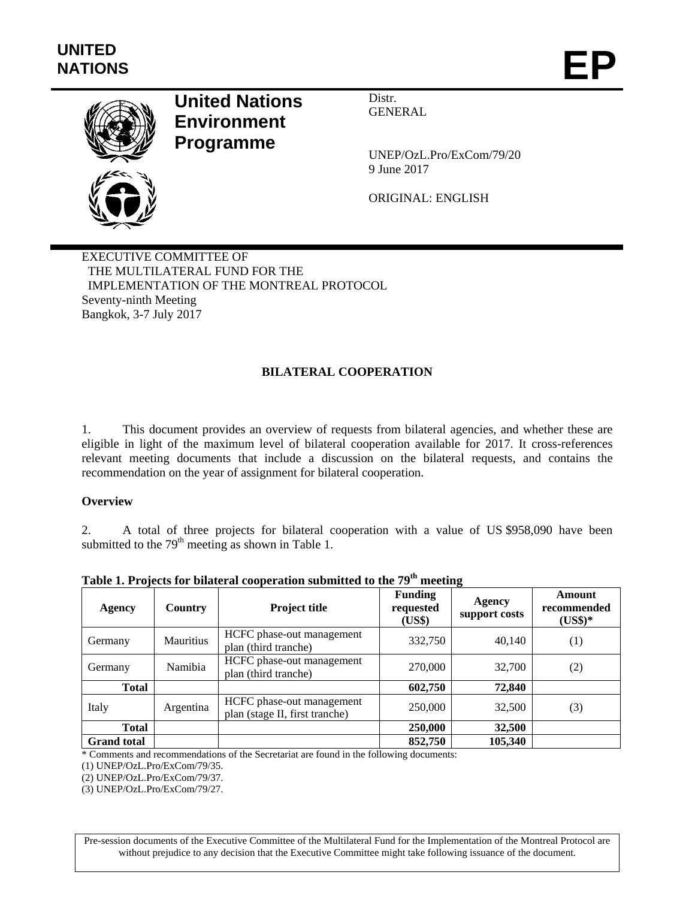

# **United Nations Environment Programme**

Distr. GENERAL

UNEP/OzL.Pro/ExCom/79/20 9 June 2017

ORIGINAL: ENGLISH

EXECUTIVE COMMITTEE OF THE MULTILATERAL FUND FOR THE IMPLEMENTATION OF THE MONTREAL PROTOCOL Seventy-ninth Meeting Bangkok, 3-7 July 2017

# **BILATERAL COOPERATION**

1. This document provides an overview of requests from bilateral agencies, and whether these are eligible in light of the maximum level of bilateral cooperation available for 2017. It cross-references relevant meeting documents that include a discussion on the bilateral requests, and contains the recommendation on the year of assignment for bilateral cooperation.

#### **Overview**

2. A total of three projects for bilateral cooperation with a value of US \$958,090 have been submitted to the  $79<sup>th</sup>$  meeting as shown in Table 1.

| Agency             | Country          | Project title                                               | <b>Funding</b><br>requested<br>(US\$) | $\overline{\phantom{a}}$<br><b>Agency</b><br>support costs | Amount<br>recommended<br>$(US$)*$ |
|--------------------|------------------|-------------------------------------------------------------|---------------------------------------|------------------------------------------------------------|-----------------------------------|
| Germany            | <b>Mauritius</b> | HCFC phase-out management<br>plan (third tranche)           | 332,750                               | 40,140                                                     | (1)                               |
| Germany            | Namibia          | HCFC phase-out management<br>plan (third tranche)           | 270,000                               | 32,700                                                     | (2)                               |
| <b>Total</b>       |                  |                                                             | 602,750                               | 72,840                                                     |                                   |
| Italy              | Argentina        | HCFC phase-out management<br>plan (stage II, first tranche) | 250,000                               | 32,500                                                     | (3)                               |
| <b>Total</b>       |                  |                                                             | 250,000                               | 32,500                                                     |                                   |
| <b>Grand</b> total |                  |                                                             | 852,750                               | 105,340                                                    |                                   |

**Table 1. Projects for bilateral cooperation submitted to the 79th meeting** 

\* Comments and recommendations of the Secretariat are found in the following documents:

(1) UNEP/OzL.Pro/ExCom/79/35.

(2) UNEP/OzL.Pro/ExCom/79/37.

(3) UNEP/OzL.Pro/ExCom/79/27.

Pre-session documents of the Executive Committee of the Multilateral Fund for the Implementation of the Montreal Protocol are without prejudice to any decision that the Executive Committee might take following issuance of the document.